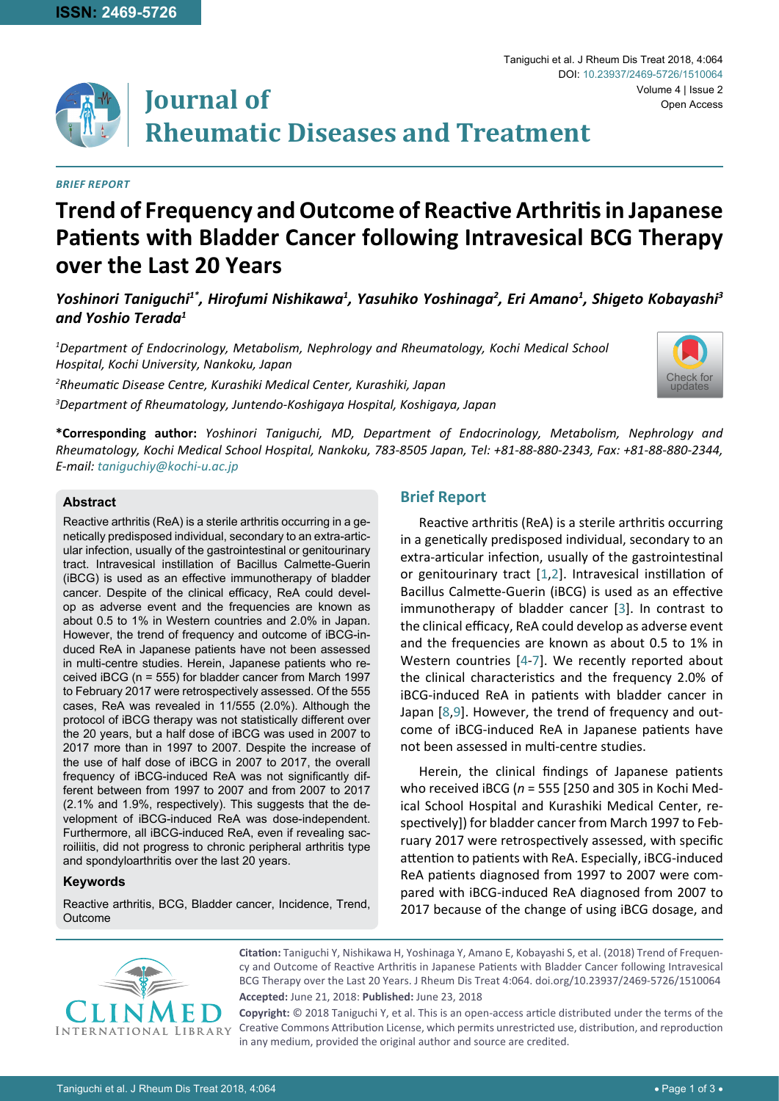

#### *Brief Report*

# **Trend of Frequency and Outcome of Reactive Arthritis in Japanese Patients with Bladder Cancer following Intravesical BCG Therapy over the Last 20 Years**

## Yoshinori Taniguchi<sup>1\*</sup>, Hirofumi Nishikawa<sup>1</sup>, Yasuhiko Yoshinaga<sup>2</sup>, Eri Amano<sup>1</sup>, Shigeto Kobayashi<sup>3</sup> *and Yoshio Terada1*

*1 Department of Endocrinology, Metabolism, Nephrology and Rheumatology, Kochi Medical School Hospital, Kochi University, Nankoku, Japan*

*2 Rheumatic Disease Centre, Kurashiki Medical Center, Kurashiki, Japan 3 Department of Rheumatology, Juntendo-Koshigaya Hospital, Koshigaya, Japan*



**\*Corresponding author:** *Yoshinori Taniguchi, MD, Department of Endocrinology, Metabolism, Nephrology and Rheumatology, Kochi Medical School Hospital, Nankoku, 783-8505 Japan, Tel: +81-88-880-2343, Fax: +81-88-880-2344, E-mail: taniguchiy@kochi-u.ac.jp*

#### **Abstract**

Reactive arthritis (ReA) is a sterile arthritis occurring in a genetically predisposed individual, secondary to an extra-articular infection, usually of the gastrointestinal or genitourinary tract. Intravesical instillation of Bacillus Calmette-Guerin (iBCG) is used as an effective immunotherapy of bladder cancer. Despite of the clinical efficacy, ReA could develop as adverse event and the frequencies are known as about 0.5 to 1% in Western countries and 2.0% in Japan. However, the trend of frequency and outcome of iBCG-induced ReA in Japanese patients have not been assessed in multi-centre studies. Herein, Japanese patients who received iBCG (n = 555) for bladder cancer from March 1997 to February 2017 were retrospectively assessed. Of the 555 cases, ReA was revealed in 11/555 (2.0%). Although the protocol of iBCG therapy was not statistically different over the 20 years, but a half dose of iBCG was used in 2007 to 2017 more than in 1997 to 2007. Despite the increase of the use of half dose of iBCG in 2007 to 2017, the overall frequency of iBCG-induced ReA was not significantly different between from 1997 to 2007 and from 2007 to 2017 (2.1% and 1.9%, respectively). This suggests that the development of iBCG-induced ReA was dose-independent. Furthermore, all iBCG-induced ReA, even if revealing sacroiliitis, did not progress to chronic peripheral arthritis type and spondyloarthritis over the last 20 years.

#### **Keywords**

Reactive arthritis, BCG, Bladder cancer, Incidence, Trend, Outcome

## **Brief Report**

Reactive arthritis (ReA) is a sterile arthritis occurring in a genetically predisposed individual, secondary to an extra-articular infection, usually of the gastrointestinal or genitourinary tract [\[1,](#page-2-0)[2](#page-2-1)]. Intravesical instillation of Bacillus Calmette-Guerin (iBCG) is used as an effective immunotherapy of bladder cancer [[3](#page-2-2)]. In contrast to the clinical efficacy, ReA could develop as adverse event and the frequencies are known as about 0.5 to 1% in Western countries [[4](#page-2-3)-[7](#page-2-4)]. We recently reported about the clinical characteristics and the frequency 2.0% of iBCG-induced ReA in patients with bladder cancer in Japan [[8,](#page-2-5)[9](#page-2-6)]. However, the trend of frequency and outcome of iBCG-induced ReA in Japanese patients have not been assessed in multi-centre studies.

Herein, the clinical findings of Japanese patients who received iBCG (*n* = 555 [250 and 305 in Kochi Medical School Hospital and Kurashiki Medical Center, respectively]) for bladder cancer from March 1997 to February 2017 were retrospectively assessed, with specific attention to patients with ReA. Especially, iBCG-induced ReA patients diagnosed from 1997 to 2007 were compared with iBCG-induced ReA diagnosed from 2007 to 2017 because of the change of using iBCG dosage, and



**Citation:** Taniguchi Y, Nishikawa H, Yoshinaga Y, Amano E, Kobayashi S, et al. (2018) Trend of Frequency and Outcome of Reactive Arthritis in Japanese Patients with Bladder Cancer following Intravesical BCG Therapy over the Last 20 Years. J Rheum Dis Treat 4:064. [doi.org/10.23937/2469-5726/1510064](https://doi.org/10.23937/2469-5726/1510064) **Accepted:** June 21, 2018: **Published:** June 23, 2018

**Copyright:** © 2018 Taniguchi Y, et al. This is an open-access article distributed under the terms of the Creative Commons Attribution License, which permits unrestricted use, distribution, and reproduction in any medium, provided the original author and source are credited.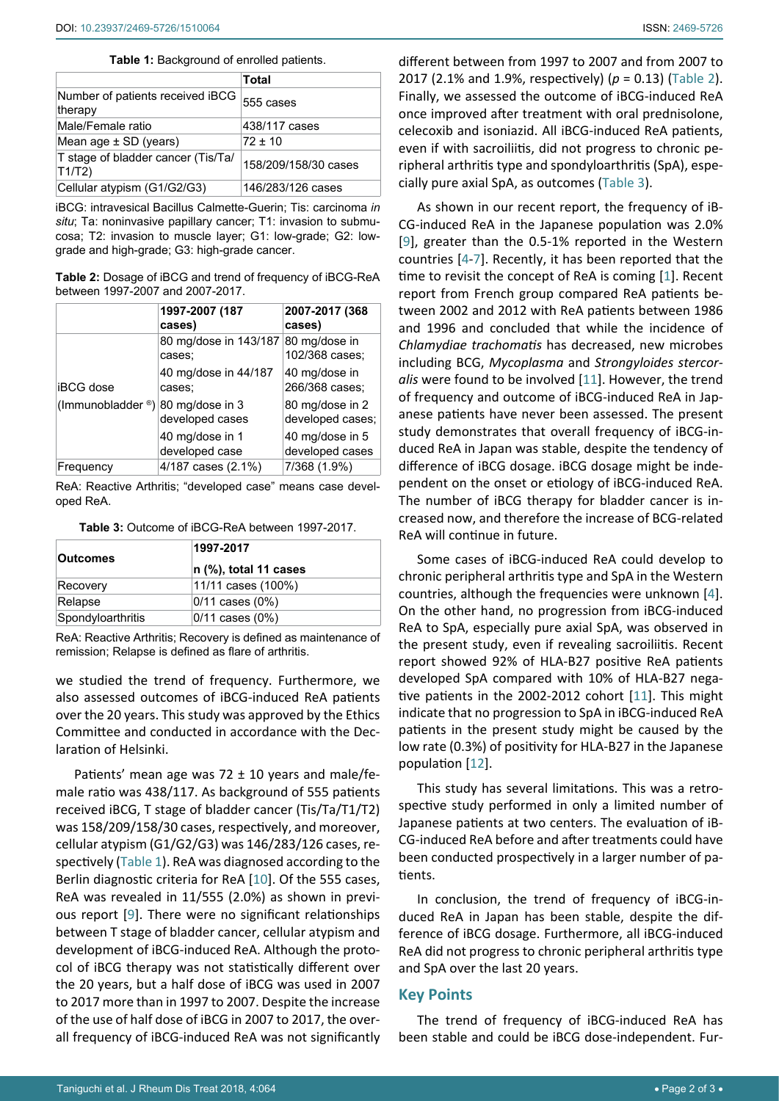<span id="page-1-2"></span>**Table 1:** Background of enrolled patients.

|                                             | Total                |
|---------------------------------------------|----------------------|
| Number of patients received iBCG<br>therapy | 555 cases            |
| Male/Female ratio                           | 438/117 cases        |
| Mean age $\pm$ SD (years)                   | $72 + 10$            |
| T stage of bladder cancer (Tis/Ta/<br>T1/T2 | 158/209/158/30 cases |
| Cellular atypism (G1/G2/G3)                 | 146/283/126 cases    |

iBCG: intravesical Bacillus Calmette-Guerin; Tis: carcinoma *in situ*; Ta: noninvasive papillary cancer; T1: invasion to submucosa; T2: invasion to muscle layer; G1: low-grade; G2: lowgrade and high-grade; G3: high-grade cancer.

<span id="page-1-0"></span>**Table 2:** Dosage of iBCG and trend of frequency of iBCG-ReA between 1997-2007 and 2007-2017.

|                   | 1997-2007 (187<br>cases)           | 2007-2017 (368<br>cases)            |
|-------------------|------------------------------------|-------------------------------------|
|                   | 80 mg/dose in 143/187<br>cases:    | 80 mg/dose in<br>102/368 cases:     |
| <b>iBCG</b> dose  | 40 mg/dose in 44/187<br>cases:     | 40 mg/dose in<br>266/368 cases:     |
| (Immunobladder ®) | 80 mg/dose in 3<br>developed cases | 80 mg/dose in 2<br>developed cases; |
|                   | 40 mg/dose in 1<br>developed case  | 40 mg/dose in 5<br>developed cases  |
| Frequency         | 4/187 cases (2.1%)                 | 7/368 (1.9%)                        |

ReA: Reactive Arthritis; "developed case" means case developed ReA.

<span id="page-1-1"></span>

|  | Table 3: Outcome of iBCG-ReA between 1997-2017. |  |
|--|-------------------------------------------------|--|
|--|-------------------------------------------------|--|

| <b>Outcomes</b>   | 1997-2017               |  |
|-------------------|-------------------------|--|
|                   | $n$ (%), total 11 cases |  |
| Recovery          | 11/11 cases (100%)      |  |
| Relapse           | $0/11$ cases $(0%)$     |  |
| Spondyloarthritis | $0/11$ cases $(0\%)$    |  |

ReA: Reactive Arthritis; Recovery is defined as maintenance of remission; Relapse is defined as flare of arthritis.

we studied the trend of frequency. Furthermore, we also assessed outcomes of iBCG-induced ReA patients over the 20 years. This study was approved by the Ethics Committee and conducted in accordance with the Declaration of Helsinki.

Patients' mean age was  $72 \pm 10$  years and male/female ratio was 438/117. As background of 555 patients received iBCG, T stage of bladder cancer (Tis/Ta/T1/T2) was 158/209/158/30 cases, respectively, and moreover, cellular atypism (G1/G2/G3) was 146/283/126 cases, respectively ([Table 1\)](#page-1-2). ReA was diagnosed according to the Berlin diagnostic criteria for ReA [[10](#page-2-9)]. Of the 555 cases, ReA was revealed in 11/555 (2.0%) as shown in previous report [\[9](#page-2-6)]. There were no significant relationships between T stage of bladder cancer, cellular atypism and development of iBCG-induced ReA. Although the protocol of iBCG therapy was not statistically different over the 20 years, but a half dose of iBCG was used in 2007 to 2017 more than in 1997 to 2007. Despite the increase of the use of half dose of iBCG in 2007 to 2017, the overall frequency of iBCG-induced ReA was not significantly different between from 1997 to 2007 and from 2007 to 2017 (2.1% and 1.9%, respectively) (*p* = 0.13) ([Table 2\)](#page-1-0). Finally, we assessed the outcome of iBCG-induced ReA once improved after treatment with oral prednisolone, celecoxib and isoniazid. All iBCG-induced ReA patients, even if with sacroiliitis, did not progress to chronic peripheral arthritis type and spondyloarthritis (SpA), especially pure axial SpA, as outcomes [\(Table 3](#page-1-1)).

As shown in our recent report, the frequency of iB-CG-induced ReA in the Japanese population was 2.0% [[9\]](#page-2-6), greater than the 0.5-1% reported in the Western countries [[4](#page-2-3)-[7](#page-2-4)]. Recently, it has been reported that the time to revisit the concept of ReA is coming [[1\]](#page-2-0). Recent report from French group compared ReA patients between 2002 and 2012 with ReA patients between 1986 and 1996 and concluded that while the incidence of *Chlamydiae trachomatis* has decreased, new microbes including BCG, *Mycoplasma* and *Strongyloides stercoralis* were found to be involved [[11](#page-2-7)]. However, the trend of frequency and outcome of iBCG-induced ReA in Japanese patients have never been assessed. The present study demonstrates that overall frequency of iBCG-induced ReA in Japan was stable, despite the tendency of difference of iBCG dosage. iBCG dosage might be independent on the onset or etiology of iBCG-induced ReA. The number of iBCG therapy for bladder cancer is increased now, and therefore the increase of BCG-related ReA will continue in future.

Some cases of iBCG-induced ReA could develop to chronic peripheral arthritis type and SpA in the Western countries, although the frequencies were unknown [[4](#page-2-3)]. On the other hand, no progression from iBCG-induced ReA to SpA, especially pure axial SpA, was observed in the present study, even if revealing sacroiliitis. Recent report showed 92% of HLA-B27 positive ReA patients developed SpA compared with 10% of HLA-B27 negative patients in the 2002-2012 cohort [[11](#page-2-7)]. This might indicate that no progression to SpA in iBCG-induced ReA patients in the present study might be caused by the low rate (0.3%) of positivity for HLA-B27 in the Japanese population [[12](#page-2-8)].

This study has several limitations. This was a retrospective study performed in only a limited number of Japanese patients at two centers. The evaluation of iB-CG-induced ReA before and after treatments could have been conducted prospectively in a larger number of patients.

In conclusion, the trend of frequency of iBCG-induced ReA in Japan has been stable, despite the difference of iBCG dosage. Furthermore, all iBCG-induced ReA did not progress to chronic peripheral arthritis type and SpA over the last 20 years.

## **Key Points**

The trend of frequency of iBCG-induced ReA has been stable and could be iBCG dose-independent. Fur-